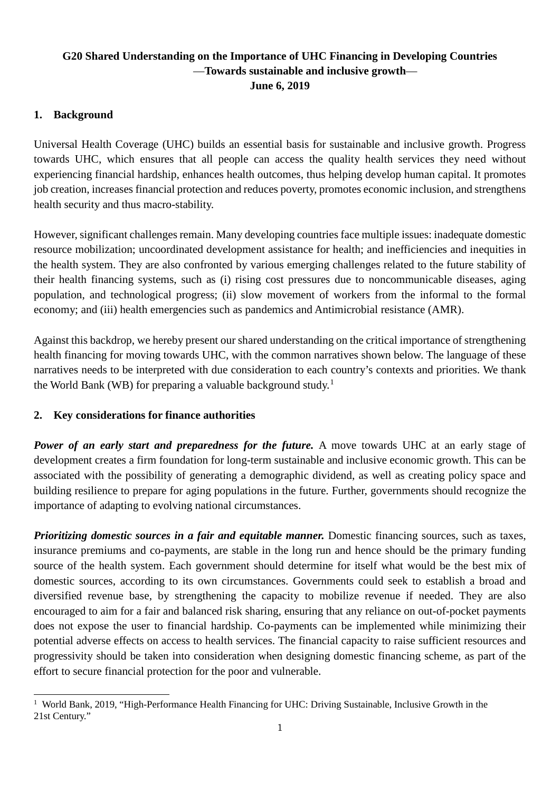## **G20 Shared Understanding on the Importance of UHC Financing in Developing Countries** —**Towards sustainable and inclusive growth**— **June 6, 2019**

## **1. Background**

Universal Health Coverage (UHC) builds an essential basis for sustainable and inclusive growth. Progress towards UHC, which ensures that all people can access the quality health services they need without experiencing financial hardship, enhances health outcomes, thus helping develop human capital. It promotes job creation, increases financial protection and reduces poverty, promotes economic inclusion, and strengthens health security and thus macro-stability.

However, significant challenges remain. Many developing countries face multiple issues: inadequate domestic resource mobilization; uncoordinated development assistance for health; and inefficiencies and inequities in the health system. They are also confronted by various emerging challenges related to the future stability of their health financing systems, such as (i) rising cost pressures due to noncommunicable diseases, aging population, and technological progress; (ii) slow movement of workers from the informal to the formal economy; and (iii) health emergencies such as pandemics and Antimicrobial resistance (AMR).

Against this backdrop, we hereby present our shared understanding on the critical importance of strengthening health financing for moving towards UHC, with the common narratives shown below. The language of these narratives needs to be interpreted with due consideration to each country's contexts and priorities. We thank the World Bank (WB) for preparing a valuable background study.<sup>[1](#page-0-0)</sup>

## **2. Key considerations for finance authorities**

*Power of an early start and preparedness for the future.* A move towards UHC at an early stage of development creates a firm foundation for long-term sustainable and inclusive economic growth. This can be associated with the possibility of generating a demographic dividend, as well as creating policy space and building resilience to prepare for aging populations in the future. Further, governments should recognize the importance of adapting to evolving national circumstances.

*Prioritizing domestic sources in a fair and equitable manner.* Domestic financing sources, such as taxes, insurance premiums and co-payments, are stable in the long run and hence should be the primary funding source of the health system. Each government should determine for itself what would be the best mix of domestic sources, according to its own circumstances. Governments could seek to establish a broad and diversified revenue base, by strengthening the capacity to mobilize revenue if needed. They are also encouraged to aim for a fair and balanced risk sharing, ensuring that any reliance on out-of-pocket payments does not expose the user to financial hardship. Co-payments can be implemented while minimizing their potential adverse effects on access to health services. The financial capacity to raise sufficient resources and progressivity should be taken into consideration when designing domestic financing scheme, as part of the effort to secure financial protection for the poor and vulnerable.

<span id="page-0-0"></span><sup>1</sup> <sup>1</sup> World Bank, 2019, "High-Performance Health Financing for UHC: Driving Sustainable, Inclusive Growth in the 21st Century."